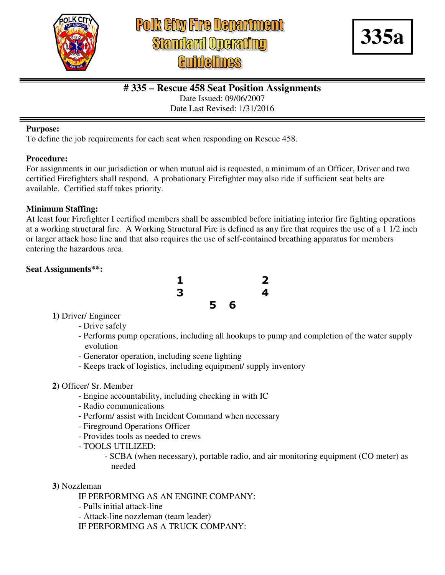

# **Polk City Fire Department Standard Operating**



# **# 335 – Rescue 458 Seat Position Assignments**

Date Issued: 09/06/2007

Date Last Revised: 1/31/2016

#### **Purpose:**

To define the job requirements for each seat when responding on Rescue 458.

## **Procedure:**

For assignments in our jurisdiction or when mutual aid is requested, a minimum of an Officer, Driver and two certified Firefighters shall respond. A probationary Firefighter may also ride if sufficient seat belts are available. Certified staff takes priority.

# **Minimum Staffing:**

At least four Firefighter I certified members shall be assembled before initiating interior fire fighting operations at a working structural fire. A Working Structural Fire is defined as any fire that requires the use of a 1 1/2 inch or larger attack hose line and that also requires the use of self-contained breathing apparatus for members entering the hazardous area.

# **Seat Assignments\*\*:**



- **1)** Driver/ Engineer
	- Drive safely
	- Performs pump operations, including all hookups to pump and completion of the water supply evolution
	- Generator operation, including scene lighting
	- Keeps track of logistics, including equipment/ supply inventory

## **2)** Officer/ Sr. Member

- Engine accountability, including checking in with IC
- Radio communications
- Perform/ assist with Incident Command when necessary
- Fireground Operations Officer
- Provides tools as needed to crews
- TOOLS UTILIZED:
	- SCBA (when necessary), portable radio, and air monitoring equipment (CO meter) as needed
- **3)** Nozzleman
	- IF PERFORMING AS AN ENGINE COMPANY:
	- Pulls initial attack-line
	- Attack-line nozzleman (team leader)
	- IF PERFORMING AS A TRUCK COMPANY: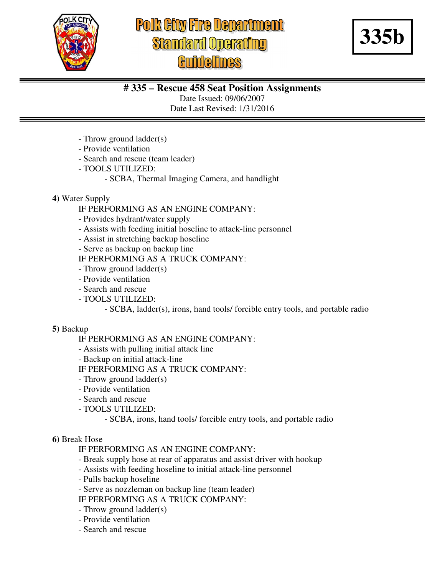

# **Polk City Fire Department Standard Operating idelines**



# **# 335 – Rescue 458 Seat Position Assignments**

Date Issued: 09/06/2007

Date Last Revised: 1/31/2016

- Throw ground ladder(s)
- Provide ventilation
- Search and rescue (team leader)
- TOOLS UTILIZED:
	- SCBA, Thermal Imaging Camera, and handlight

# **4)** Water Supply

IF PERFORMING AS AN ENGINE COMPANY:

- Provides hydrant/water supply
- Assists with feeding initial hoseline to attack-line personnel
- Assist in stretching backup hoseline
- Serve as backup on backup line

IF PERFORMING AS A TRUCK COMPANY:

- Throw ground ladder(s)
- Provide ventilation
- Search and rescue
- TOOLS UTILIZED:
	- SCBA, ladder(s), irons, hand tools/ forcible entry tools, and portable radio

## **5)** Backup

IF PERFORMING AS AN ENGINE COMPANY:

- Assists with pulling initial attack line
- Backup on initial attack-line
- IF PERFORMING AS A TRUCK COMPANY:
- Throw ground ladder(s)
- Provide ventilation
- Search and rescue
- TOOLS UTILIZED:

- SCBA, irons, hand tools/ forcible entry tools, and portable radio

## **6)** Break Hose

IF PERFORMING AS AN ENGINE COMPANY:

- Break supply hose at rear of apparatus and assist driver with hookup
- Assists with feeding hoseline to initial attack-line personnel
- Pulls backup hoseline
- Serve as nozzleman on backup line (team leader)

IF PERFORMING AS A TRUCK COMPANY:

- Throw ground ladder(s)
- Provide ventilation
- Search and rescue